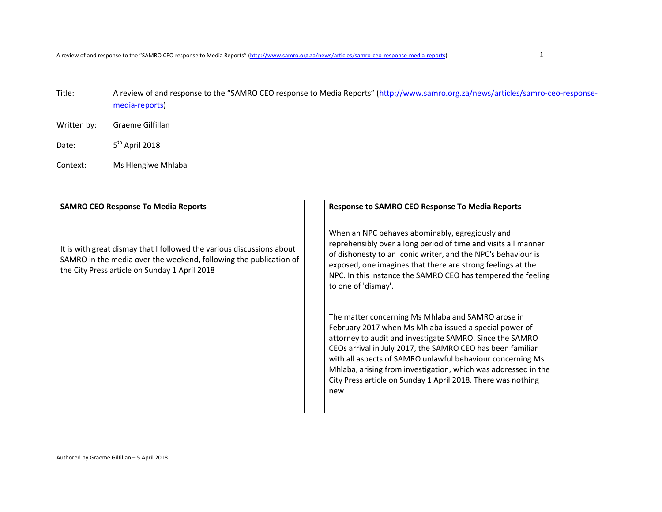- Title: A review of and response to the "SAMRO CEO response to Media Reports" (http://www.samro.org.za/news/articles/samro-ceo-responsemedia-reports)
- Written by: Graeme Gilfillan
- Date: 5<sup>th</sup> April 2018
- Context: Ms Hlengiwe Mhlaba

It is with great dismay that I followed the various discussions about SAMRO in the media over the weekend, following the publication of the City Press article on Sunday 1 April 2018

### **SAMRO CEO Response To Media Reports Response to SAMRO CEO Response To Media Reports**

When an NPC behaves abominably, egregiously and reprehensibly over a long period of time and visits all manner of dishonesty to an iconic writer, and the NPC's behaviour is exposed, one imagines that there are strong feelings at the NPC. In this instance the SAMRO CEO has tempered the feeling to one of 'dismay'.

The matter concerning Ms Mhlaba and SAMRO arose in February 2017 when Ms Mhlaba issued a special power of attorney to audit and investigate SAMRO. Since the SAMRO CEOs arrival in July 2017, the SAMRO CEO has been familiar with all aspects of SAMRO unlawful behaviour concerning Ms Mhlaba, arising from investigation, which was addressed in the City Press article on Sunday 1 April 2018. There was nothing new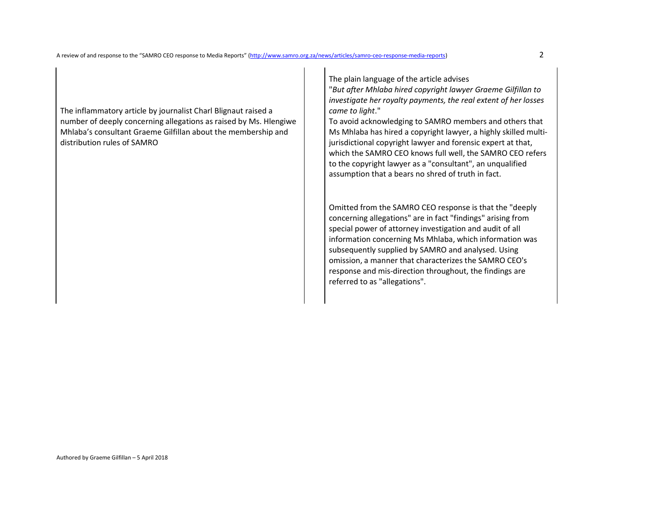The inflammatory article by journalist Charl Blignaut raised a number of deeply concerning allegations as raised by Ms. Hlengiwe Mhlaba's consultant Graeme Gilfillan about the membership and distribution rules of SAMRO

The plain language of the article advises

 "*But after Mhlaba hired copyright lawyer Graeme Gilfillan to investigate her royalty payments, the real extent of her losses came to light*."

To avoid acknowledging to SAMRO members and others that Ms Mhlaba has hired a copyright lawyer, a highly skilled multijurisdictional copyright lawyer and forensic expert at that, which the SAMRO CEO knows full well, the SAMRO CEO refers to the copyright lawyer as a "consultant", an unqualified assumption that a bears no shred of truth in fact.

Omitted from the SAMRO CEO response is that the "deeply concerning allegations" are in fact "findings" arising from special power of attorney investigation and audit of all information concerning Ms Mhlaba, which information was subsequently supplied by SAMRO and analysed. Using omission, a manner that characterizes the SAMRO CEO's response and mis-direction throughout, the findings are referred to as "allegations".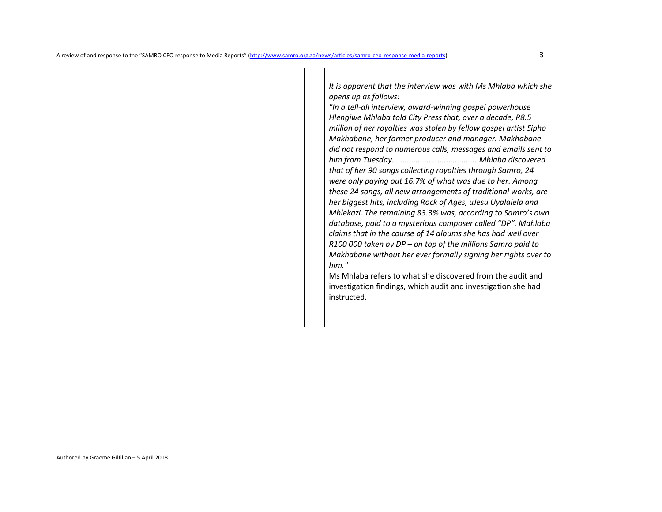*It is apparent that the interview was with Ms Mhlaba which she opens up as follows:* 

 *"In a tell-all interview, award-winning gospel powerhouse Hlengiwe Mhlaba told City Press that, over a decade, R8.5 million of her royalties was stolen by fellow gospel artist Sipho Makhabane, her former producer and manager. Makhabane did not respond to numerous calls, messages and emails sent to him from Tuesday........................................Mhlaba discovered that of her 90 songs collecting royalties through Samro, 24 were only paying out 16.7% of what was due to her. Among these 24 songs, all new arrangements of traditional works, are her biggest hits, including Rock of Ages, uJesu Uyalalela and Mhlekazi. The remaining 83.3% was, according to Samro's own database, paid to a mysterious composer called "DP". Mahlaba claims that in the course of 14 albums she has had well over R100 000 taken by DP – on top of the millions Samro paid to Makhabane without her ever formally signing her rights over to him."* 

 Ms Mhlaba refers to what she discovered from the audit and investigation findings, which audit and investigation she had instructed.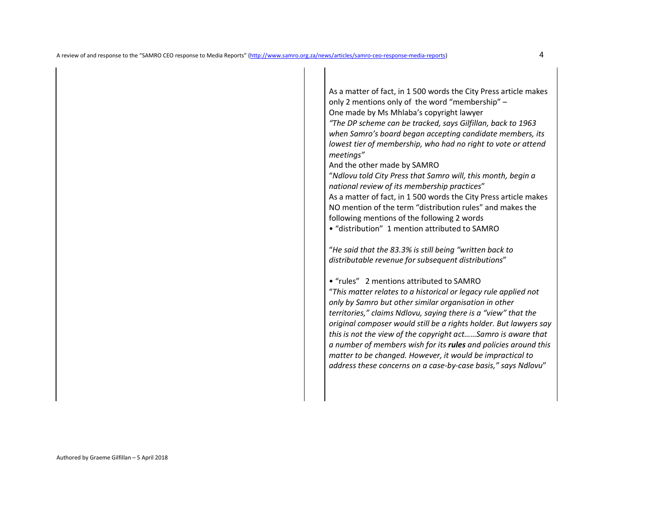As a matter of fact, in 1 500 words the City Press article makes only 2 mentions only of the word "membership" – One made by Ms Mhlaba's copyright lawyer *"The DP scheme can be tracked, says Gilfillan, back to 1963 when Samro's board began accepting candidate members, its lowest tier of membership, who had no right to vote or attend meetings"* And the other made by SAMRO "*Ndlovu told City Press that Samro will, this month, begin a national review of its membership practices*" As a matter of fact, in 1 500 words the City Press article makes NO mention of the term "distribution rules" and makes the

following mentions of the following 2 words

• "distribution" 1 mention attributed to SAMRO

"*He said that the 83.3% is still being "written back to distributable revenue for subsequent distributions*"

• "rules" 2 mentions attributed to SAMRO

"*This matter relates to a historical or legacy rule applied not only by Samro but other similar organisation in other territories," claims Ndlovu, saying there is a "view" that the original composer would still be a rights holder. But lawyers say this is not the view of the copyright act……Samro is aware that a number of members wish for its rules and policies around this matter to be changed. However, it would be impractical to address these concerns on a case-by-case basis," says Ndlovu*"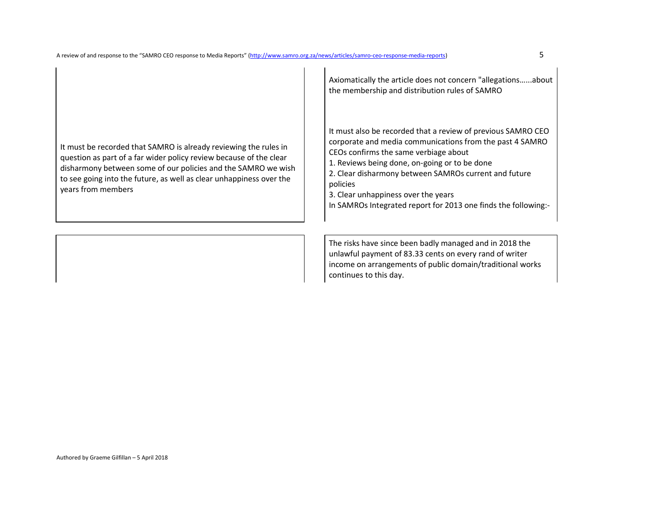It must be recorded that SAMRO is already reviewing the rules in question as part of a far wider policy review because of the clear disharmony between some of our policies and the SAMRO we wish to see going into the future, as well as clear unhappiness over the years from members

Axiomatically the article does not concern "allegations…...about the membership and distribution rules of SAMRO

It must also be recorded that a review of previous SAMRO CEO corporate and media communications from the past 4 SAMRO CEOs confirms the same verbiage about

1. Reviews being done, on-going or to be done

 2. Clear disharmony between SAMROs current and future policies

3. Clear unhappiness over the years

In SAMROs Integrated report for 2013 one finds the following:-

The risks have since been badly managed and in 2018 the unlawful payment of 83.33 cents on every rand of writer income on arrangements of public domain/traditional works continues to this day.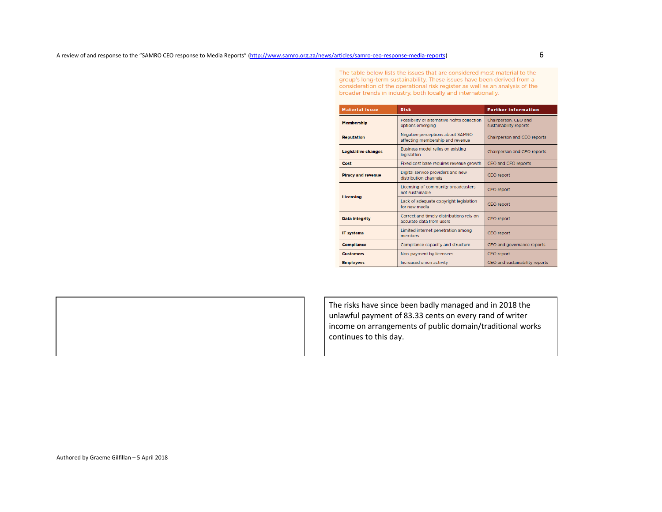The table below lists the issues that are considered most material to the group's long-term sustainability. These issues have been derived from a consideration of the operational risk register as well as an analysis of the broader trends in industry, both locally and internationally.

| <b>Material Issue</b>                                                            | <b>Risk</b>                                                          | <b>Further Information</b>                     |
|----------------------------------------------------------------------------------|----------------------------------------------------------------------|------------------------------------------------|
| <b>Membership</b>                                                                | Possibility of alternative rights collection<br>options emerging     | Chairperson, CEO and<br>sustainability reports |
| <b>Reputation</b>                                                                | Negative perceptions about SAMRO<br>affecting membership and revenue | Chairperson and CEO reports                    |
| <b>Legislative changes</b>                                                       | Business model relies on existing<br>legislation                     | Chairperson and CEO reports                    |
| Cost                                                                             | Fixed cost base requires revenue growth                              | CEO and CFO reports                            |
| <b>Piracy and revenue</b>                                                        | Digital service providers and new<br>distribution channels.          | <b>CEO</b> report                              |
| <b>Licensing</b>                                                                 | Licensing of community broadcasters<br>not sustainable               | <b>CFO</b> report                              |
|                                                                                  | Lack of adequate copyright legislation<br>for new media              | <b>CEO</b> report                              |
| <b>Data Integrity</b>                                                            | Correct and timely distributions rely on<br>accurate data from users | <b>CEO</b> report                              |
| Limited internet penetration among<br><b>IT systems</b><br>CEO report<br>members |                                                                      |                                                |
| <b>Compliance</b>                                                                | Compliance capacity and structure                                    | CEO and governance reports                     |
| <b>Customers</b>                                                                 | Non-payment by licensees                                             | <b>CFO</b> report                              |
| <b>Employees</b>                                                                 | Increased union activity                                             | CEO and sustainability reports                 |

The risks have since been badly managed and in 2018 the unlawful payment of 83.33 cents on every rand of writer income on arrangements of public domain/traditional works continues to this day.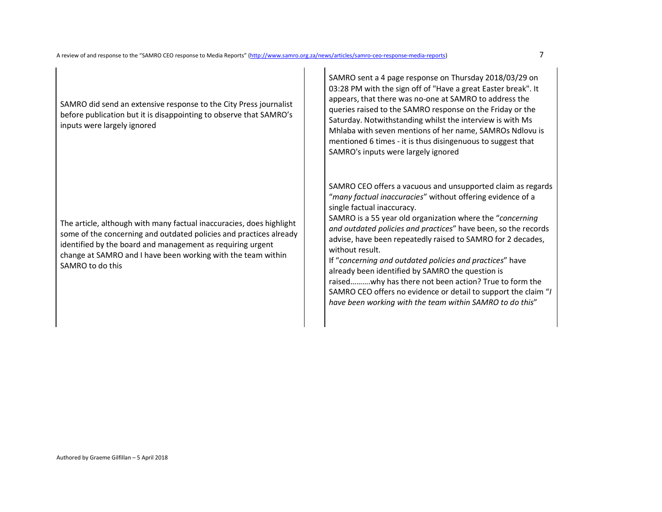SAMRO did send an extensive response to the City Press journalist before publication but it is disappointing to observe that SAMRO's inputs were largely ignored

The article, although with many factual inaccuracies, does highlight some of the concerning and outdated policies and practices already identified by the board and management as requiring urgent change at SAMRO and I have been working with the team within SAMRO to do this

SAMRO sent a 4 page response on Thursday 2018/03/29 on 03:28 PM with the sign off of "Have a great Easter break". It appears, that there was no-one at SAMRO to address the queries raised to the SAMRO response on the Friday or the Saturday. Notwithstanding whilst the interview is with Ms Mhlaba with seven mentions of her name, SAMROs Ndlovu is mentioned 6 times - it is thus disingenuous to suggest that SAMRO's inputs were largely ignored

SAMRO CEO offers a vacuous and unsupported claim as regards "*many factual inaccuracies*" without offering evidence of a single factual inaccuracy.

 SAMRO is a 55 year old organization where the "*concerning and outdated policies and practices*" have been, so the records advise, have been repeatedly raised to SAMRO for 2 decades, without result.

 If "*concerning and outdated policies and practices*" have already been identified by SAMRO the question is raised……….why has there not been action? True to form the SAMRO CEO offers no evidence or detail to support the claim "*I have been working with the team within SAMRO to do this*"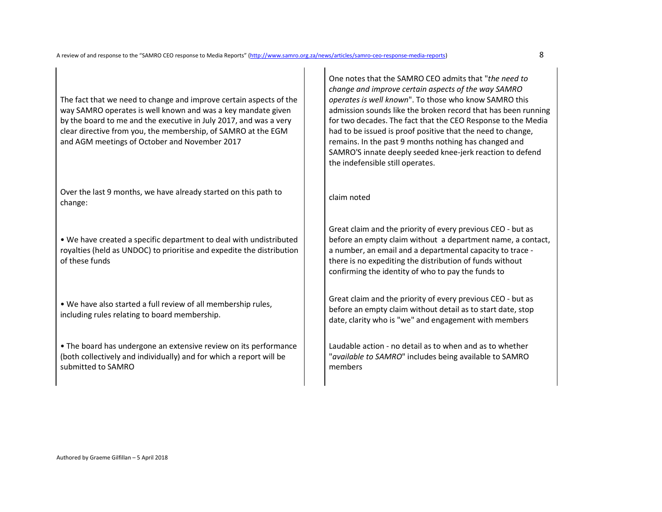The fact that we need to change and improve certain aspects of the way SAMRO operates is well known and was a key mandate given by the board to me and the executive in July 2017, and was a very clear directive from you, the membership, of SAMRO at the EGM and AGM meetings of October and November 2017

Over the last 9 months, we have already started on this path to change: continued and change of the path of the path of claim noted change:

• We have created a specific department to deal with undistributed royalties (held as UNDOC) to prioritise and expedite the distribution of these funds

• We have also started a full review of all membership rules, including rules relating to board membership.

• The board has undergone an extensive review on its performance (both collectively and individually) and for which a report will be submitted to SAMRO

One notes that the SAMRO CEO admits that "*the need to change and improve certain aspects of the way SAMRO operates is well known*". To those who know SAMRO this admission sounds like the broken record that has been running for two decades. The fact that the CEO Response to the Media had to be issued is proof positive that the need to change, remains. In the past 9 months nothing has changed and SAMRO'S innate deeply seeded knee-jerk reaction to defend the indefensible still operates.

Great claim and the priority of every previous CEO - but as before an empty claim without a department name, a contact, a number, an email and a departmental capacity to trace there is no expediting the distribution of funds without confirming the identity of who to pay the funds to

Great claim and the priority of every previous CEO - but as before an empty claim without detail as to start date, stop date, clarity who is "we" and engagement with members

Laudable action - no detail as to when and as to whether "*available to SAMRO*" includes being available to SAMRO members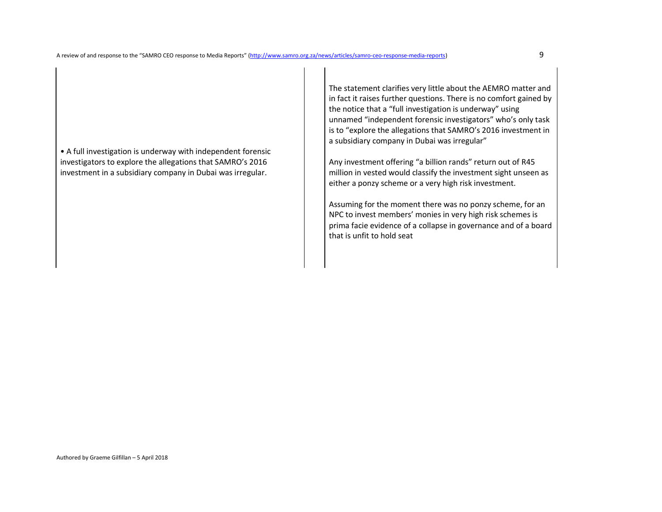• A full investigation is underway with independent forensic investigators to explore the allegations that SAMRO's 2016 investment in a subsidiary company in Dubai was irregular.

The statement clarifies very little about the AEMRO matter and in fact it raises further questions. There is no comfort gained by the notice that a "full investigation is underway" using unnamed "independent forensic investigators" who's only task is to "explore the allegations that SAMRO's 2016 investment in a subsidiary company in Dubai was irregular"

Any investment offering "a billion rands" return out of R45 million in vested would classify the investment sight unseen as either a ponzy scheme or a very high risk investment.

Assuming for the moment there was no ponzy scheme, for an NPC to invest members' monies in very high risk schemes is prima facie evidence of a collapse in governance and of a board that is unfit to hold seat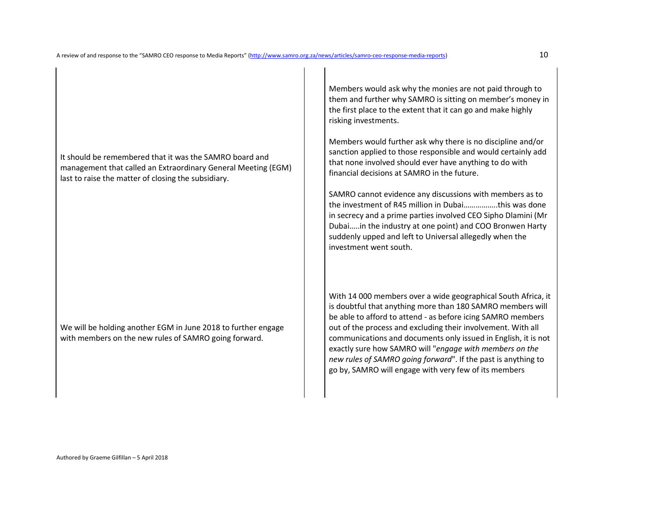It should be remembered that it was the SAMRO board and management that called an Extraordinary General Meeting (EGM) last to raise the matter of closing the subsidiary.

We will be holding another EGM in June 2018 to further engage with members on the new rules of SAMRO going forward.

Members would ask why the monies are not paid through to them and further why SAMRO is sitting on member's money in the first place to the extent that it can go and make highly risking investments.

Members would further ask why there is no discipline and/or sanction applied to those responsible and would certainly add that none involved should ever have anything to do with financial decisions at SAMRO in the future.

SAMRO cannot evidence any discussions with members as to the investment of R45 million in Dubai……………..this was done in secrecy and a prime parties involved CEO Sipho Dlamini (Mr Dubai…..in the industry at one point) and COO Bronwen Harty suddenly upped and left to Universal allegedly when the investment went south.

With 14 000 members over a wide geographical South Africa, it is doubtful that anything more than 180 SAMRO members will be able to afford to attend - as before icing SAMRO members out of the process and excluding their involvement. With all communications and documents only issued in English, it is not exactly sure how SAMRO will "*engage with members on the new rules of SAMRO going forward*". If the past is anything to go by, SAMRO will engage with very few of its members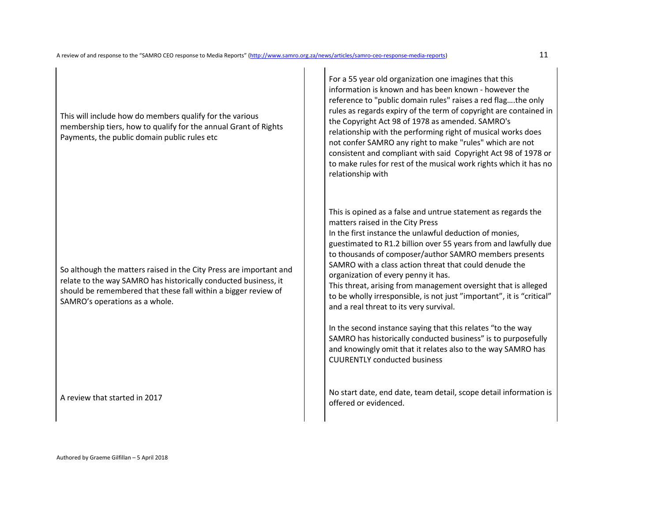This will include how do members qualify for the various membership tiers, how to qualify for the annual Grant of Rights Payments, the public domain public rules etc

So although the matters raised in the City Press are important and relate to the way SAMRO has historically conducted business, it should be remembered that these fall within a bigger review of SAMRO's operations as a whole.

For a 55 year old organization one imagines that this information is known and has been known - however the reference to "public domain rules" raises a red flag….the only rules as regards expiry of the term of copyright are contained in the Copyright Act 98 of 1978 as amended. SAMRO's relationship with the performing right of musical works does not confer SAMRO any right to make "rules" which are not consistent and compliant with said Copyright Act 98 of 1978 or to make rules for rest of the musical work rights which it has no relationship with

This is opined as a false and untrue statement as regards the matters raised in the City Press

In the first instance the unlawful deduction of monies, guestimated to R1.2 billion over 55 years from and lawfully due to thousands of composer/author SAMRO members presents SAMRO with a class action threat that could denude the organization of every penny it has.

This threat, arising from management oversight that is alleged to be wholly irresponsible, is not just "important", it is "critical" and a real threat to its very survival.

In the second instance saying that this relates "to the way SAMRO has historically conducted business" is to purposefully and knowingly omit that it relates also to the way SAMRO has CUURENTLY conducted business

A review that started in 2017 No start date, end date, team detail, scope detail information is A review that started in 2017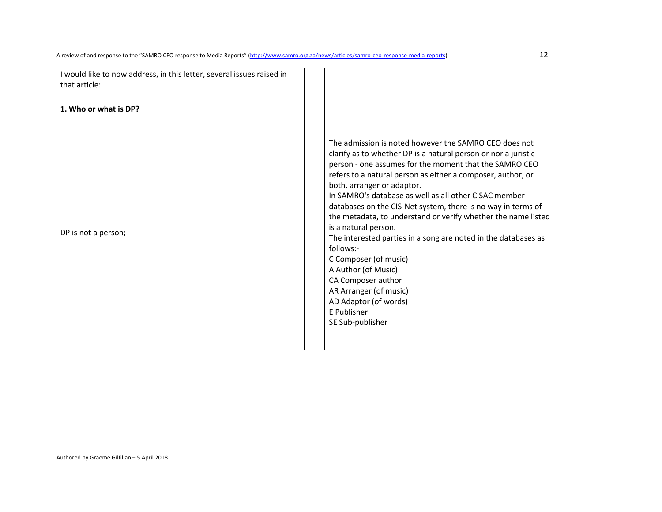| I would like to now address, in this letter, several issues raised in<br>that article:<br>1. Who or what is DP? |                                                                                                                                                                                                                                                                                                                                                                                                                                                                                                                                                                                                                                                                                                                                             |
|-----------------------------------------------------------------------------------------------------------------|---------------------------------------------------------------------------------------------------------------------------------------------------------------------------------------------------------------------------------------------------------------------------------------------------------------------------------------------------------------------------------------------------------------------------------------------------------------------------------------------------------------------------------------------------------------------------------------------------------------------------------------------------------------------------------------------------------------------------------------------|
| DP is not a person;                                                                                             | The admission is noted however the SAMRO CEO does not<br>clarify as to whether DP is a natural person or nor a juristic<br>person - one assumes for the moment that the SAMRO CEO<br>refers to a natural person as either a composer, author, or<br>both, arranger or adaptor.<br>In SAMRO's database as well as all other CISAC member<br>databases on the CIS-Net system, there is no way in terms of<br>the metadata, to understand or verify whether the name listed<br>is a natural person.<br>The interested parties in a song are noted in the databases as<br>follows:-<br>C Composer (of music)<br>A Author (of Music)<br>CA Composer author<br>AR Arranger (of music)<br>AD Adaptor (of words)<br>E Publisher<br>SE Sub-publisher |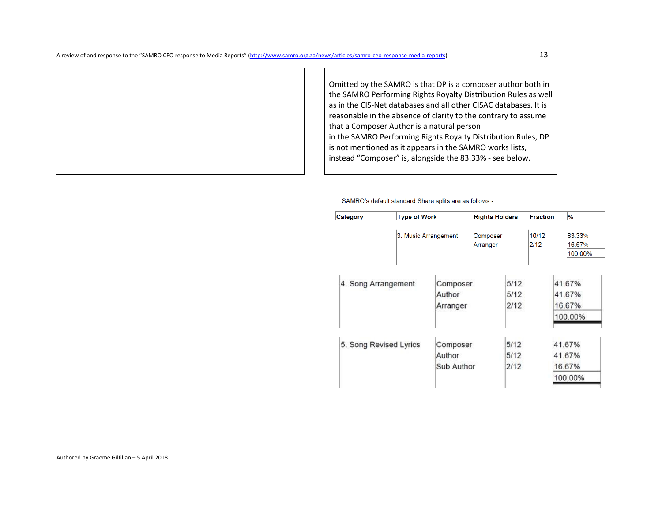Omitted by the SAMRO is that DP is a composer author both in the SAMRO Performing Rights Royalty Distribution Rules as well as in the CIS-Net databases and all other CISAC databases. It is reasonable in the absence of clarity to the contrary to assume that a Composer Author is a natural person

 in the SAMRO Performing Rights Royalty Distribution Rules, DP is not mentioned as it appears in the SAMRO works lists, instead "Composer" is, alongside the 83.33% - see below.

SAMRO's default standard Share splits are as follows:-

| <b>Category</b>        | <b>Type of Work</b>  |                                  | <b>Rights Holders</b> |                      | <b>Fraction</b> | $\frac{9}{6}$                         |
|------------------------|----------------------|----------------------------------|-----------------------|----------------------|-----------------|---------------------------------------|
|                        | 3. Music Arrangement |                                  | Composer<br>Arranger  |                      | 10/12<br>2/12   | 83.33%<br>16.67%<br>100.00%           |
| 4. Song Arrangement    |                      | Composer<br>Author<br>Arranger   |                       | 5/12<br>5/12<br>2/12 |                 | 41.67%<br>41.67%<br>16.67%<br>100.00% |
| 5. Song Revised Lyrics |                      | Composer<br>Author<br>Sub Author |                       | 5/12<br>5/12<br>2/12 |                 | 41.67%<br>41.67%<br>16.67%<br>100.00% |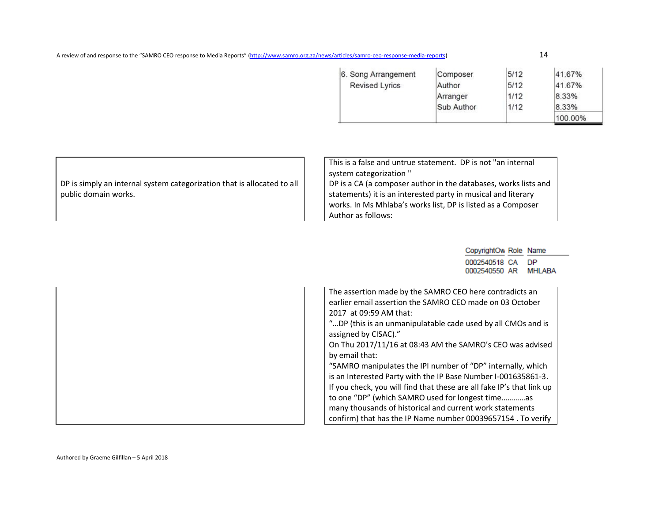A review of and response to the "SAMRO CEO response to Media Reports" (http://www.samro.org.za/news/articles/samro-ceo-response-media-reports) 14

| 6. Song Arrangement   | Composer   | 5/12 | 41.67%  |
|-----------------------|------------|------|---------|
| <b>Revised Lyrics</b> | Author     | 5/12 | 41.67%  |
|                       | Arranger   | 1/12 | 8.33%   |
|                       | Sub Author | 1/12 | 8.33%   |
|                       |            |      | 100.00% |

| DP is simply an internal system categorization that is allocated to all<br>public domain works. | This is a false and untrue statement. DP is not "an internal<br>system categorization"<br>DP is a CA (a composer author in the databases, works lists and<br>statements) it is an interested party in musical and literary<br>works. In Ms Mhlaba's works list, DP is listed as a Composer<br>Author as follows:                                                                                                                                                                                                                                                                                                                                                                                             |
|-------------------------------------------------------------------------------------------------|--------------------------------------------------------------------------------------------------------------------------------------------------------------------------------------------------------------------------------------------------------------------------------------------------------------------------------------------------------------------------------------------------------------------------------------------------------------------------------------------------------------------------------------------------------------------------------------------------------------------------------------------------------------------------------------------------------------|
|                                                                                                 | CopyrightOw Role Name                                                                                                                                                                                                                                                                                                                                                                                                                                                                                                                                                                                                                                                                                        |
|                                                                                                 | 0002540518 CA<br><b>DP</b><br><b>MHLABA</b><br>0002540550 AR                                                                                                                                                                                                                                                                                                                                                                                                                                                                                                                                                                                                                                                 |
|                                                                                                 | The assertion made by the SAMRO CEO here contradicts an<br>earlier email assertion the SAMRO CEO made on 03 October<br>2017 at 09:59 AM that:<br>"DP (this is an unmanipulatable cade used by all CMOs and is<br>assigned by CISAC)."<br>On Thu 2017/11/16 at 08:43 AM the SAMRO's CEO was advised<br>by email that:<br>"SAMRO manipulates the IPI number of "DP" internally, which<br>is an Interested Party with the IP Base Number I-001635861-3.<br>If you check, you will find that these are all fake IP's that link up<br>to one "DP" (which SAMRO used for longest timeas<br>many thousands of historical and current work statements<br>confirm) that has the IP Name number 00039657154. To verify |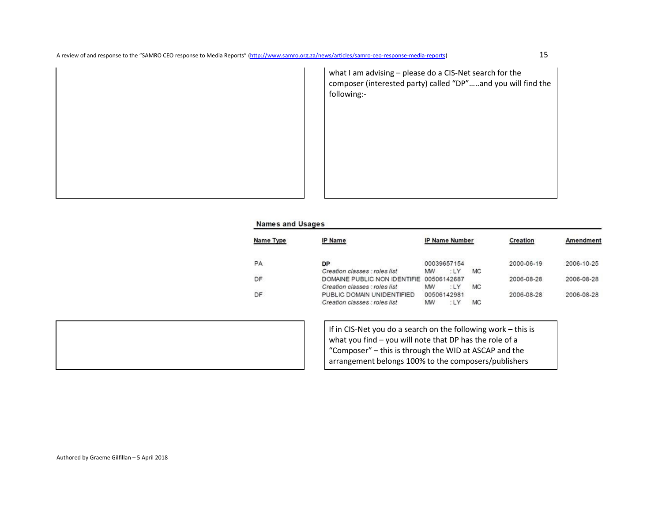A review of and response to the "SAMRO CEO response to Media Reports" (http://www.samro.org.za/news/articles/samro-ceo-response-media-reports) 15

what I am advising – please do a CIS-Net search for the composer (interested party) called "DP"…..and you will find the following:-

### **Names and Usages**

| Name Type | <b>IP Name</b>                |    | <b>IP Name Number</b> |    | Creation   | Amendment  |
|-----------|-------------------------------|----|-----------------------|----|------------|------------|
| PA        | <b>DP</b>                     |    | 00039657154           |    | 2000-06-19 | 2006-10-25 |
|           | Creation classes : roles list | MW | $^{\circ}$ LY         | MC |            |            |
| DF        | DOMAINE PUBLIC NON IDENTIFIE  |    | 00506142687           |    | 2006-08-28 | 2006-08-28 |
|           | Creation classes : roles list | MW |                       | MC |            |            |
| DF        | PUBLIC DOMAIN UNIDENTIFIED    |    | 00506142981           |    | 2006-08-28 | 2006-08-28 |
|           | Creation classes : roles list | MW |                       | MC |            |            |



If in CIS-Net you do a search on the following work – this is what you find – you will note that DP has the role of a "Composer" – this is through the WID at ASCAP and the arrangement belongs 100% to the composers/publishers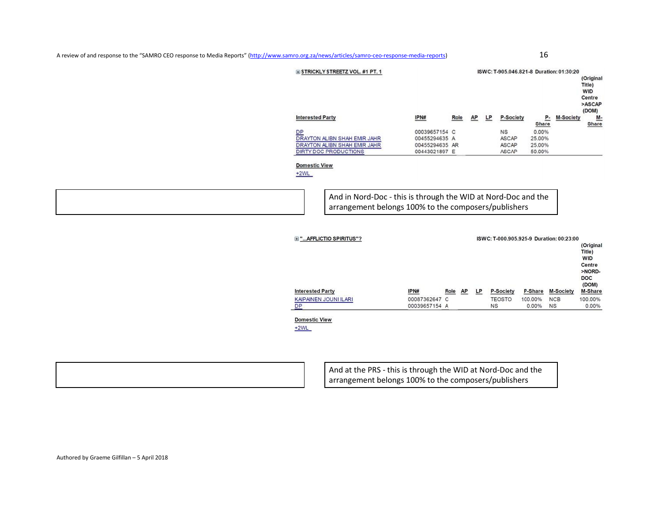A review of and response to the "SAMRO CEO response to Media Reports" (http://www.samro.org.za/news/articles/samro-ceo-response-media-reports) 16



**Domestic View**  $+2WL$ 

 $DP$ 

And at the PRS - this is through the WID at Nord-Doc and the arrangement belongs 100% to the composers/publishers

00039657154 A

**NS** 

0.00%

**NS** 

0.00%

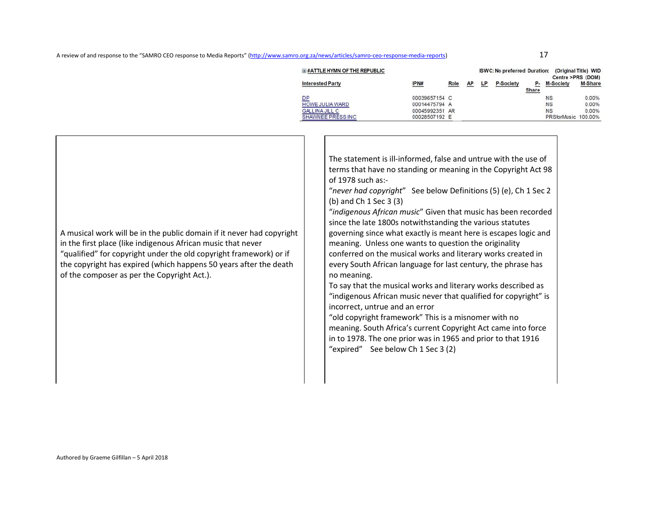| <b>E #ATTLE HYMN OF THE REPUBLIC</b> |                |      |    |    | <b>ISWC: No preferred Duration:</b> |                    | Centre >PRS (DOM)   | (Original Title) WID |
|--------------------------------------|----------------|------|----|----|-------------------------------------|--------------------|---------------------|----------------------|
| <b>Interested Party</b>              | IPN#           | Role | AP | LP | <b>P-Society</b>                    | Р.<br><b>Share</b> | <b>M-Society</b>    | M-Share              |
| <u>DP</u>                            | 00039657154 C  |      |    |    |                                     |                    | <b>NS</b>           | 0.00%                |
| HOWE JULIA WARD                      | 00014475794 A  |      |    |    |                                     |                    | <b>NS</b>           | 0.00%                |
| <b>GALLINA JILL C</b>                | 00045992351 AR |      |    |    |                                     |                    | <b>NS</b>           | 0.00%                |
| SHAWNEE PRESS INC                    | 00028507192 E  |      |    |    |                                     |                    | PRSforMusic 100.00% |                      |

| A musical work will be in the public domain if it never had copyright<br>in the first place (like indigenous African music that never<br>"qualified" for copyright under the old copyright framework) or if<br>the copyright has expired (which happens 50 years after the death<br>of the composer as per the Copyright Act.). | The statement is ill-informed, false and untrue with the use of<br>terms that have no standing or meaning in the Copyright Act 98<br>of 1978 such as:-<br>"never had copyright" See below Definitions (5) (e), Ch 1 Sec 2<br>(b) and Ch 1 Sec 3 (3)<br>"indigenous African music" Given that music has been recorded<br>since the late 1800s notwithstanding the various statutes<br>governing since what exactly is meant here is escapes logic and<br>meaning. Unless one wants to question the originality<br>conferred on the musical works and literary works created in<br>every South African language for last century, the phrase has<br>no meaning.<br>To say that the musical works and literary works described as<br>"indigenous African music never that qualified for copyright" is<br>incorrect, untrue and an error<br>"old copyright framework" This is a misnomer with no<br>meaning. South Africa's current Copyright Act came into force<br>in to 1978. The one prior was in 1965 and prior to that 1916<br>"expired" See below Ch 1 Sec 3 (2) |
|---------------------------------------------------------------------------------------------------------------------------------------------------------------------------------------------------------------------------------------------------------------------------------------------------------------------------------|---------------------------------------------------------------------------------------------------------------------------------------------------------------------------------------------------------------------------------------------------------------------------------------------------------------------------------------------------------------------------------------------------------------------------------------------------------------------------------------------------------------------------------------------------------------------------------------------------------------------------------------------------------------------------------------------------------------------------------------------------------------------------------------------------------------------------------------------------------------------------------------------------------------------------------------------------------------------------------------------------------------------------------------------------------------------|
|---------------------------------------------------------------------------------------------------------------------------------------------------------------------------------------------------------------------------------------------------------------------------------------------------------------------------------|---------------------------------------------------------------------------------------------------------------------------------------------------------------------------------------------------------------------------------------------------------------------------------------------------------------------------------------------------------------------------------------------------------------------------------------------------------------------------------------------------------------------------------------------------------------------------------------------------------------------------------------------------------------------------------------------------------------------------------------------------------------------------------------------------------------------------------------------------------------------------------------------------------------------------------------------------------------------------------------------------------------------------------------------------------------------|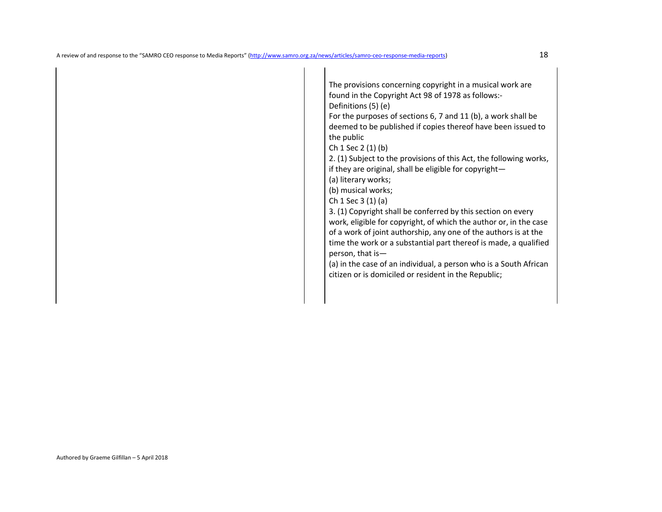The provisions concerning copyright in a musical work are found in the Copyright Act 98 of 1978 as follows:- Definitions (5) (e)

 For the purposes of sections 6, 7 and 11 (b), a work shall be deemed to be published if copies thereof have been issued to the public

Ch 1 Sec 2 (1) (b)

 2. (1) Subject to the provisions of this Act, the following works, if they are original, shall be eligible for copyright—

(a) literary works;

(b) musical works;

Ch 1 Sec 3 (1) (a)

 3. (1) Copyright shall be conferred by this section on every work, eligible for copyright, of which the author or, in the case of a work of joint authorship, any one of the authors is at the time the work or a substantial part thereof is made, a qualified person, that is—

 (a) in the case of an individual, a person who is a South African citizen or is domiciled or resident in the Republic;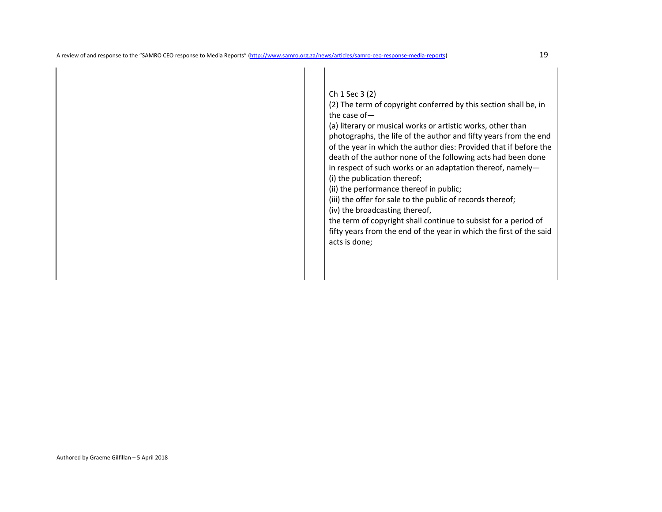Ch 1 Sec 3 (2)

 (2) The term of copyright conferred by this section shall be, in the case of—

 (a) literary or musical works or artistic works, other than photographs, the life of the author and fifty years from the end of the year in which the author dies: Provided that if before the death of the author none of the following acts had been done in respect of such works or an adaptation thereof, namely— (i) the publication thereof;

(ii) the performance thereof in public;

(iii) the offer for sale to the public of records thereof;

(iv) the broadcasting thereof,

 the term of copyright shall continue to subsist for a period of fifty years from the end of the year in which the first of the said acts is done;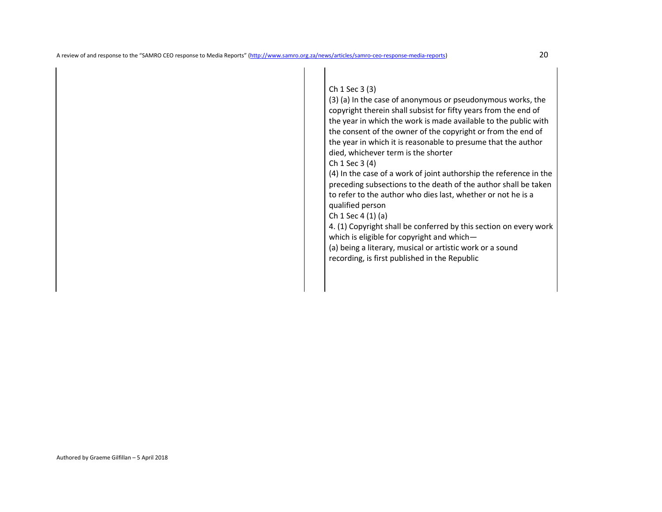## Ch 1 Sec 3 (3)

 (3) (a) In the case of anonymous or pseudonymous works, the copyright therein shall subsist for fifty years from the end of the year in which the work is made available to the public with the consent of the owner of the copyright or from the end of the year in which it is reasonable to presume that the author died, whichever term is the shorter

## Ch 1 Sec 3 (4)

 (4) In the case of a work of joint authorship the reference in the preceding subsections to the death of the author shall be taken to refer to the author who dies last, whether or not he is a qualified person

Ch 1 Sec 4 (1) (a)

 4. (1) Copyright shall be conferred by this section on every work which is eligible for copyright and which—

 (a) being a literary, musical or artistic work or a sound recording, is first published in the Republic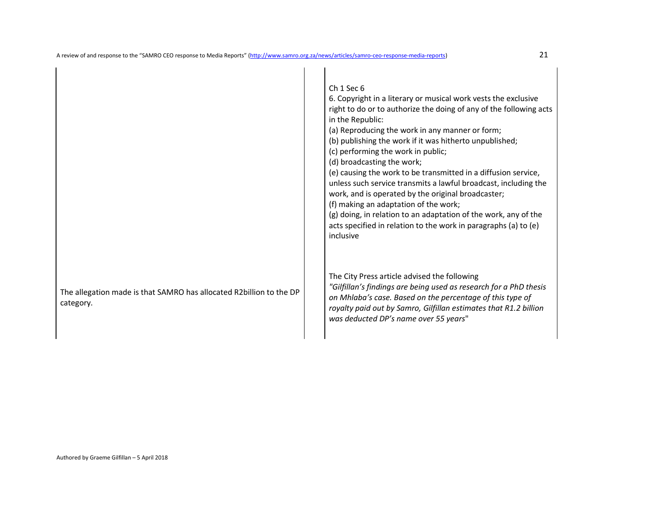|                                                                                  | Ch 1 Sec 6<br>6. Copyright in a literary or musical work vests the exclusive<br>right to do or to authorize the doing of any of the following acts<br>in the Republic:<br>(a) Reproducing the work in any manner or form;<br>(b) publishing the work if it was hitherto unpublished;<br>(c) performing the work in public;<br>(d) broadcasting the work;<br>(e) causing the work to be transmitted in a diffusion service,<br>unless such service transmits a lawful broadcast, including the<br>work, and is operated by the original broadcaster;<br>(f) making an adaptation of the work;<br>(g) doing, in relation to an adaptation of the work, any of the<br>acts specified in relation to the work in paragraphs (a) to (e)<br>inclusive |
|----------------------------------------------------------------------------------|-------------------------------------------------------------------------------------------------------------------------------------------------------------------------------------------------------------------------------------------------------------------------------------------------------------------------------------------------------------------------------------------------------------------------------------------------------------------------------------------------------------------------------------------------------------------------------------------------------------------------------------------------------------------------------------------------------------------------------------------------|
| The allegation made is that SAMRO has allocated R2billion to the DP<br>category. | The City Press article advised the following<br>"Gilfillan's findings are being used as research for a PhD thesis<br>on Mhlaba's case. Based on the percentage of this type of<br>royalty paid out by Samro, Gilfillan estimates that R1.2 billion<br>was deducted DP's name over 55 years"                                                                                                                                                                                                                                                                                                                                                                                                                                                     |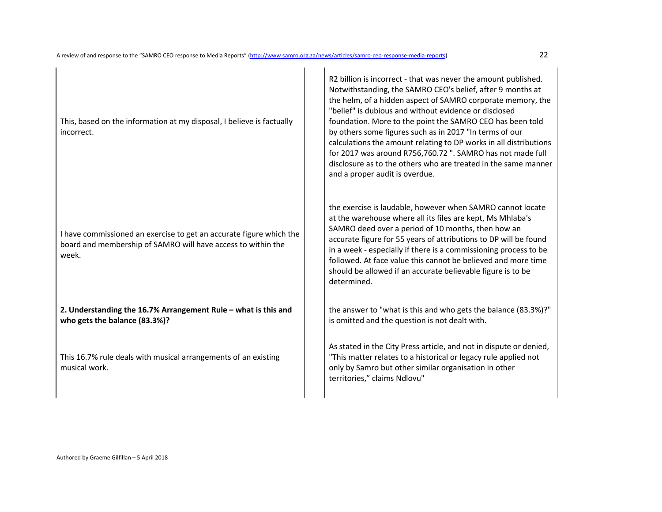This, based on the information at my disposal, I believe is factually incorrect.

I have commissioned an exercise to get an accurate figure which the board and membership of SAMRO will have access to within the week.

**2. Understanding the 16.7% Arrangement Rule – what is this and who gets the balance (83.3%)?** 

This 16.7% rule deals with musical arrangements of an existing musical work.

R2 billion is incorrect - that was never the amount published. Notwithstanding, the SAMRO CEO's belief, after 9 months at the helm, of a hidden aspect of SAMRO corporate memory, the "belief" is dubious and without evidence or disclosed foundation. More to the point the SAMRO CEO has been told by others some figures such as in 2017 "In terms of our calculations the amount relating to DP works in all distributions for 2017 was around R756,760.72 ". SAMRO has not made full disclosure as to the others who are treated in the same manner and a proper audit is overdue.

the exercise is laudable, however when SAMRO cannot locate at the warehouse where all its files are kept, Ms Mhlaba's SAMRO deed over a period of 10 months, then how an accurate figure for 55 years of attributions to DP will be found in a week - especially if there is a commissioning process to be followed. At face value this cannot be believed and more time should be allowed if an accurate believable figure is to be determined.

the answer to "what is this and who gets the balance (83.3%)?" is omitted and the question is not dealt with.

As stated in the City Press article, and not in dispute or denied, "This matter relates to a historical or legacy rule applied not only by Samro but other similar organisation in other territories," claims Ndlovu"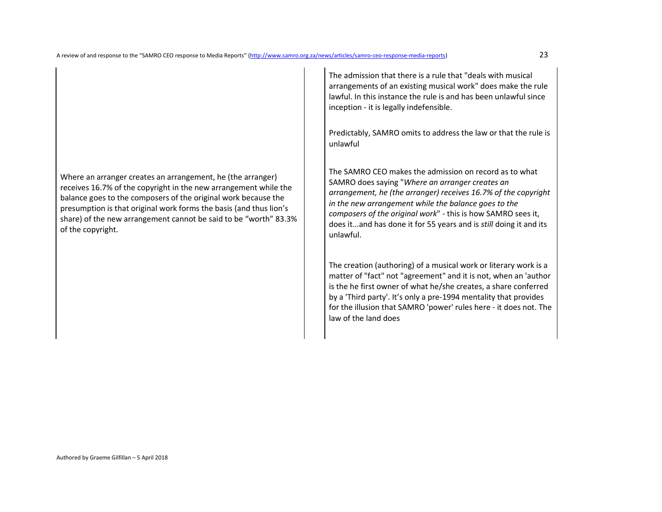Where an arranger creates an arrangement, he (the arranger) receives 16.7% of the copyright in the new arrangement while the balance goes to the composers of the original work because the presumption is that original work forms the basis (and thus lion's share) of the new arrangement cannot be said to be "worth" 83.3% of the copyright.

The admission that there is a rule that "deals with musical arrangements of an existing musical work" does make the rule lawful. In this instance the rule is and has been unlawful since inception - it is legally indefensible.

Predictably, SAMRO omits to address the law or that the rule is unlawful

The SAMRO CEO makes the admission on record as to what SAMRO does saying "*Where an arranger creates an arrangement, he (the arranger) receives 16.7% of the copyright in the new arrangement while the balance goes to the composers of the original work*" - this is how SAMRO sees it, does it...and has done it for 55 years and is *still* doing it and its unlawful.

The creation (authoring) of a musical work or literary work is a matter of "fact" not "agreement" and it is not, when an 'author is the he first owner of what he/she creates, a share conferred by a 'Third party'. It's only a pre-1994 mentality that provides for the illusion that SAMRO 'power' rules here - it does not. The law of the land does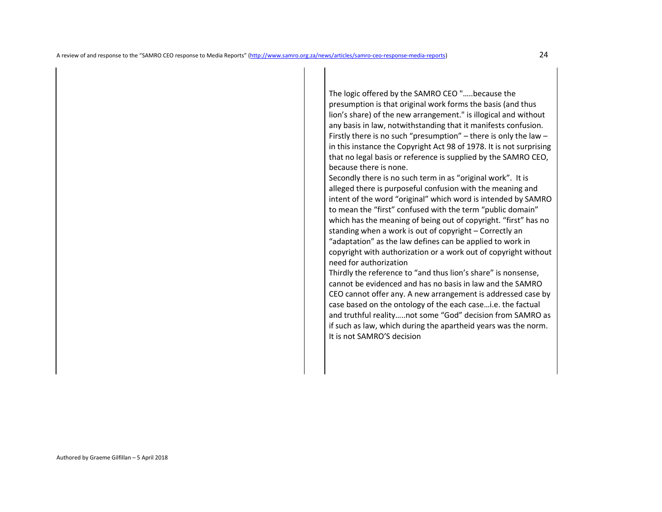The logic offered by the SAMRO CEO "…..because the presumption is that original work forms the basis (and thus lion's share) of the new arrangement." is illogical and without any basis in law, notwithstanding that it manifests confusion. Firstly there is no such "presumption" – there is only the law – in this instance the Copyright Act 98 of 1978. It is not surprising that no legal basis or reference is supplied by the SAMRO CEO, because there is none.

 Secondly there is no such term in as "original work". It is alleged there is purposeful confusion with the meaning and intent of the word "original" which word is intended by SAMRO to mean the "first" confused with the term "public domain" which has the meaning of being out of copyright. "first" has no standing when a work is out of copyright – Correctly an "adaptation" as the law defines can be applied to work in copyright with authorization or a work out of copyright without need for authorization

Thirdly the reference to "and thus lion's share" is nonsense, cannot be evidenced and has no basis in law and the SAMRO CEO cannot offer any. A new arrangement is addressed case by case based on the ontology of the each case…i.e. the factual and truthful reality…..not some "God" decision from SAMRO as if such as law, which during the apartheid years was the norm. It is not SAMRO'S decision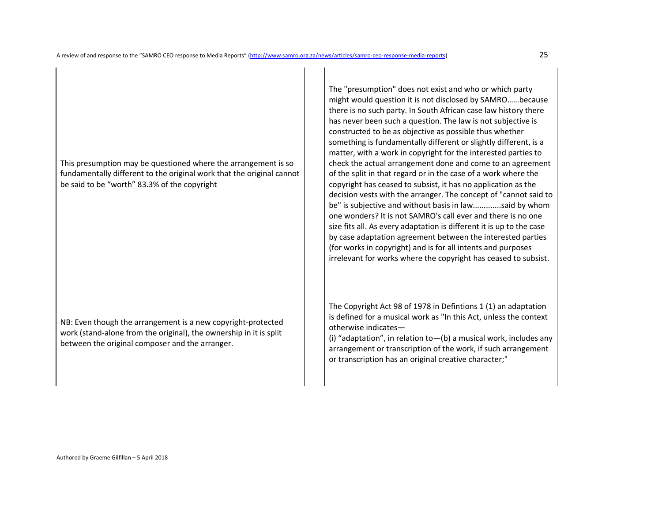This presumption may be questioned where the arrangement is so fundamentally different to the original work that the original cannot be said to be "worth" 83.3% of the copyright

NB: Even though the arrangement is a new copyright-protected work (stand-alone from the original), the ownership in it is split between the original composer and the arranger.

The "presumption" does not exist and who or which party might would question it is not disclosed by SAMRO……because there is no such party. In South African case law history there has never been such a question. The law is not subjective is constructed to be as objective as possible thus whether something is fundamentally different or slightly different, is a matter, with a work in copyright for the interested parties to check the actual arrangement done and come to an agreement of the split in that regard or in the case of a work where the copyright has ceased to subsist, it has no application as the decision vests with the arranger. The concept of "cannot said to be" is subjective and without basis in law.............said by whom one wonders? It is not SAMRO's call ever and there is no one size fits all. As every adaptation is different it is up to the case by case adaptation agreement between the interested parties (for works in copyright) and is for all intents and purposes irrelevant for works where the copyright has ceased to subsist.

The Copyright Act 98 of 1978 in Defintions 1 (1) an adaptation is defined for a musical work as "In this Act, unless the context otherwise indicates—

(i) "adaptation", in relation to  $-$  (b) a musical work, includes any arrangement or transcription of the work, if such arrangement or transcription has an original creative character;"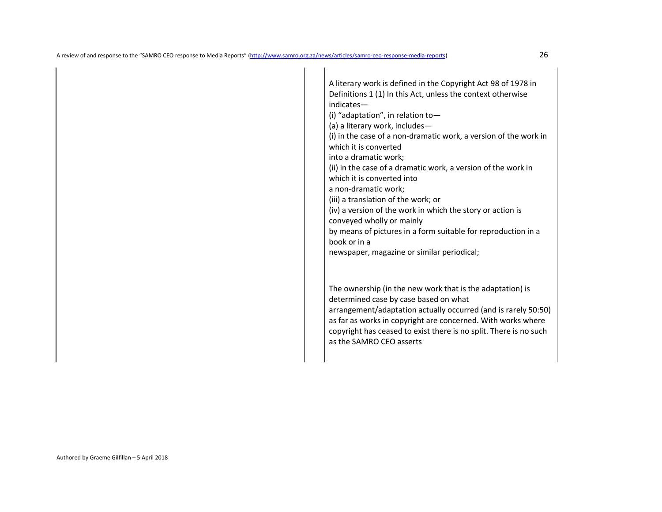A literary work is defined in the Copyright Act 98 of 1978 in Definitions 1 (1) In this Act, unless the context otherwise indicates— (i) "adaptation", in relation to— (a) a literary work, includes— (i) in the case of a non-dramatic work, a version of the work in which it is converted into a dramatic work; (ii) in the case of a dramatic work, a version of the work in which it is converted into a non-dramatic work; (iii) a translation of the work; or (iv) a version of the work in which the story or action is conveyed wholly or mainly by means of pictures in a form suitable for reproduction in a book or in a newspaper, magazine or similar periodical; The ownership (in the new work that is the adaptation) is determined case by case based on what arrangement/adaptation actually occurred (and is rarely 50:50)

as far as works in copyright are concerned. With works where copyright has ceased to exist there is no split. There is no such as the SAMRO CEO asserts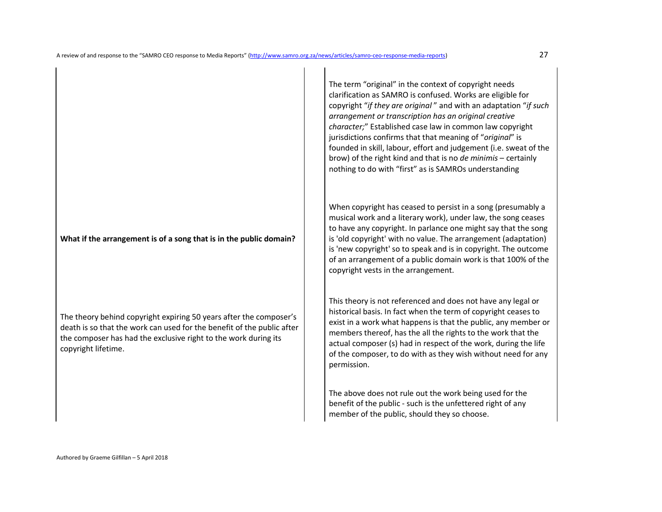**What if the arrangement is of a song that is in the public domain?** 

The theory behind copyright expiring 50 years after the composer's death is so that the work can used for the benefit of the public after the composer has had the exclusive right to the work during its copyright lifetime.

The term "original" in the context of copyright needs clarification as SAMRO is confused. Works are eligible for copyright "*if they are original* " and with an adaptation "*if such arrangement or transcription has an original creative character;*" Established case law in common law copyright jurisdictions confirms that that meaning of "*original*" is founded in skill, labour, effort and judgement (i.e. sweat of the brow) of the right kind and that is no *de minimis* – certainly nothing to do with "first" as is SAMROs understanding

When copyright has ceased to persist in a song (presumably a musical work and a literary work), under law, the song ceases to have any copyright. In parlance one might say that the song is 'old copyright' with no value. The arrangement (adaptation) is 'new copyright' so to speak and is in copyright. The outcome of an arrangement of a public domain work is that 100% of the copyright vests in the arrangement.

This theory is not referenced and does not have any legal or historical basis. In fact when the term of copyright ceases to exist in a work what happens is that the public, any member or members thereof, has the all the rights to the work that the actual composer (s) had in respect of the work, during the life of the composer, to do with as they wish without need for any permission.

The above does not rule out the work being used for the benefit of the public - such is the unfettered right of any member of the public, should they so choose.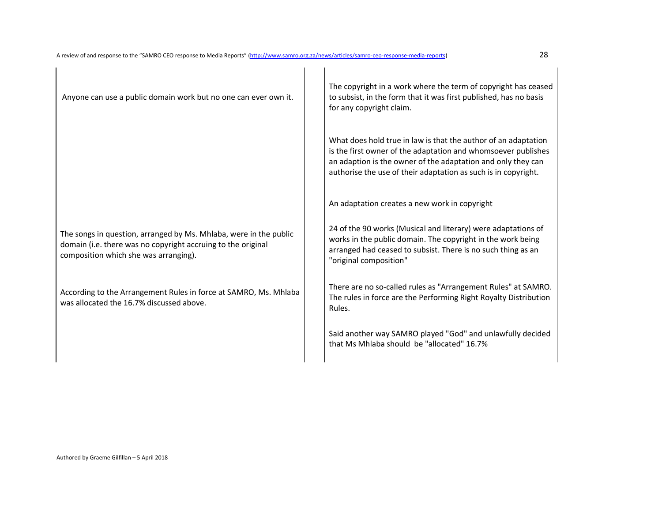| Anyone can use a public domain work but no one can ever own it.                                                                                                            | The copyright in a work where the term of copyright has ceased<br>to subsist, in the form that it was first published, has no basis<br>for any copyright claim.                                                                                                   |
|----------------------------------------------------------------------------------------------------------------------------------------------------------------------------|-------------------------------------------------------------------------------------------------------------------------------------------------------------------------------------------------------------------------------------------------------------------|
|                                                                                                                                                                            | What does hold true in law is that the author of an adaptation<br>is the first owner of the adaptation and whomsoever publishes<br>an adaption is the owner of the adaptation and only they can<br>authorise the use of their adaptation as such is in copyright. |
|                                                                                                                                                                            | An adaptation creates a new work in copyright                                                                                                                                                                                                                     |
| The songs in question, arranged by Ms. Mhlaba, were in the public<br>domain (i.e. there was no copyright accruing to the original<br>composition which she was arranging). | 24 of the 90 works (Musical and literary) were adaptations of<br>works in the public domain. The copyright in the work being<br>arranged had ceased to subsist. There is no such thing as an<br>"original composition"                                            |
| According to the Arrangement Rules in force at SAMRO, Ms. Mhlaba<br>was allocated the 16.7% discussed above.                                                               | There are no so-called rules as "Arrangement Rules" at SAMRO.<br>The rules in force are the Performing Right Royalty Distribution<br>Rules.                                                                                                                       |
|                                                                                                                                                                            | Said another way SAMRO played "God" and unlawfully decided<br>that Ms Mhlaba should be "allocated" 16.7%                                                                                                                                                          |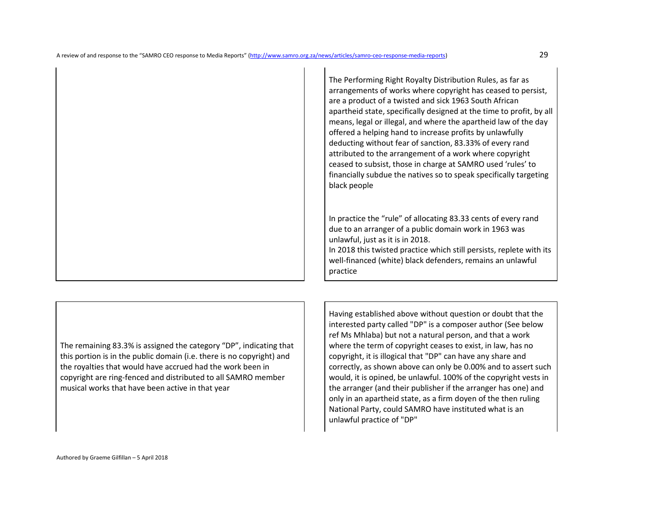The Performing Right Royalty Distribution Rules, as far as arrangements of works where copyright has ceased to persist, are a product of a twisted and sick 1963 South African apartheid state, specifically designed at the time to profit, by all means, legal or illegal, and where the apartheid law of the day offered a helping hand to increase profits by unlawfully deducting without fear of sanction, 83.33% of every rand attributed to the arrangement of a work where copyright ceased to subsist, those in charge at SAMRO used 'rules' to financially subdue the natives so to speak specifically targeting black people

In practice the "rule" of allocating 83.33 cents of every rand due to an arranger of a public domain work in 1963 was unlawful, just as it is in 2018.

In 2018 this twisted practice which still persists, replete with its well-financed (white) black defenders, remains an unlawful practice

The remaining 83.3% is assigned the category "DP", indicating that this portion is in the public domain (i.e. there is no copyright) and the royalties that would have accrued had the work been in copyright are ring-fenced and distributed to all SAMRO member musical works that have been active in that year

Having established above without question or doubt that the interested party called "DP" is a composer author (See below ref Ms Mhlaba) but not a natural person, and that a work where the term of copyright ceases to exist, in law, has no copyright, it is illogical that "DP" can have any share and correctly, as shown above can only be 0.00% and to assert such would, it is opined, be unlawful. 100% of the copyright vests in the arranger (and their publisher if the arranger has one) and only in an apartheid state, as a firm doyen of the then ruling National Party, could SAMRO have instituted what is an unlawful practice of "DP"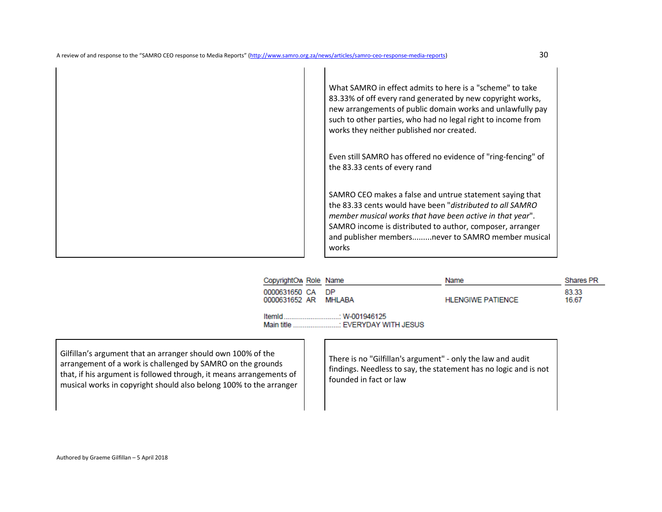

| CopyrightOw Role Name                    |                                      | Name                     | Shares PR      |
|------------------------------------------|--------------------------------------|--------------------------|----------------|
| 0000631650 CA DP<br>0000631652 AR MHLABA |                                      | <b>HLENGIWE PATIENCE</b> | 83.33<br>16.67 |
| ItemId<br>Main title                     | $W-001946125$<br>FVERYDAY WITH JESUS |                          |                |

Gilfillan's argument that an arranger should own 100% of the arrangement of a work is challenged by SAMRO on the grounds that, if his argument is followed through, it means arrangements of musical works in copyright should also belong 100% to the arranger

There is no "Gilfillan's argument" - only the law and audit findings. Needless to say, the statement has no logic and is not founded in fact or law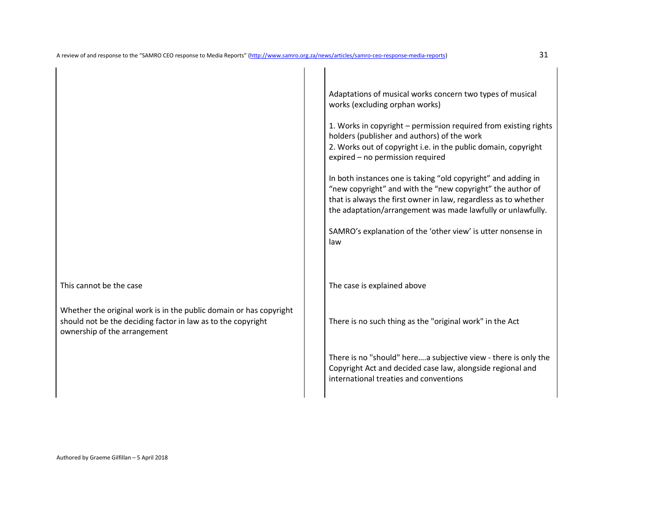Whether the original work is in the public domain or has copyright should not be the deciding factor in law as to the copyright ownership of the arrangement

Adaptations of musical works concern two types of musical works (excluding orphan works)

1. Works in copyright – permission required from existing rights holders (publisher and authors) of the work 2. Works out of copyright i.e. in the public domain, copyright expired – no permission required

In both instances one is taking "old copyright" and adding in "new copyright" and with the "new copyright" the author of that is always the first owner in law, regardless as to whether the adaptation/arrangement was made lawfully or unlawfully.

SAMRO's explanation of the 'other view' is utter nonsense in law

This cannot be the case The case The case is explained above

There is no such thing as the "original work" in the Act

There is no "should" here….a subjective view - there is only the Copyright Act and decided case law, alongside regional and international treaties and conventions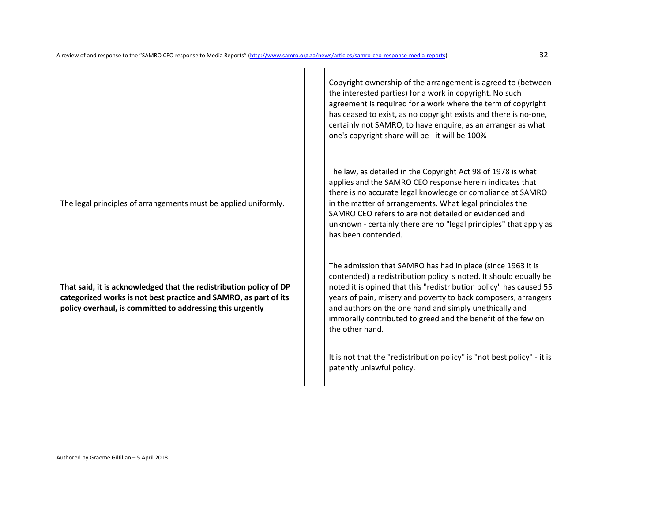The legal principles of arrangements must be applied uniformly.

**That said, it is acknowledged that the redistribution policy of DP categorized works is not best practice and SAMRO, as part of its policy overhaul, is committed to addressing this urgently** 

Copyright ownership of the arrangement is agreed to (between the interested parties) for a work in copyright. No such agreement is required for a work where the term of copyright has ceased to exist, as no copyright exists and there is no-one, certainly not SAMRO, to have enquire, as an arranger as what one's copyright share will be - it will be 100%

The law, as detailed in the Copyright Act 98 of 1978 is what applies and the SAMRO CEO response herein indicates that there is no accurate legal knowledge or compliance at SAMRO in the matter of arrangements. What legal principles the SAMRO CEO refers to are not detailed or evidenced and unknown - certainly there are no "legal principles" that apply as has been contended.

The admission that SAMRO has had in place (since 1963 it is contended) a redistribution policy is noted. It should equally be noted it is opined that this "redistribution policy" has caused 55 years of pain, misery and poverty to back composers, arrangers and authors on the one hand and simply unethically and immorally contributed to greed and the benefit of the few on the other hand.

It is not that the "redistribution policy" is "not best policy" - it is patently unlawful policy.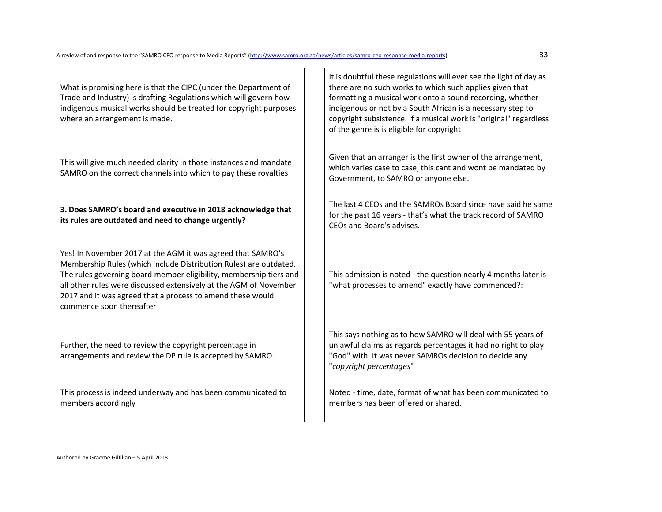What is promising here is that the CIPC (under the Department of Trade and Industry) is drafting Regulations which will govern how indigenous musical works should be treated for copyright purposes where an arrangement is made.

This will give much needed clarity in those instances and mandate SAMRO on the correct channels into which to pay these royalties

# **3. Does SAMRO's board and executive in 2018 acknowledge that its rules are outdated and need to change urgently?**

Yes! In November 2017 at the AGM it was agreed that SAMRO's Membership Rules (which include Distribution Rules) are outdated. The rules governing board member eligibility, membership tiers and all other rules were discussed extensively at the AGM of November 2017 and it was agreed that a process to amend these would commence soon thereafter

Further, the need to review the copyright percentage in arrangements and review the DP rule is accepted by SAMRO.

This process is indeed underway and has been communicated to members accordingly

It is doubtful these regulations will ever see the light of day as there are no such works to which such applies given that formatting a musical work onto a sound recording, whether indigenous or not by a South African is a necessary step to copyright subsistence. If a musical work is "original" regardless of the genre is is eligible for copyright

Given that an arranger is the first owner of the arrangement, which varies case to case, this cant and wont be mandated by Government, to SAMRO or anyone else.

The last 4 CEOs and the SAMROs Board since have said he same for the past 16 years - that's what the track record of SAMRO CEOs and Board's advises.

This admission is noted - the question nearly 4 months later is "what processes to amend" exactly have commenced?:

This says nothing as to how SAMRO will deal with 55 years of unlawful claims as regards percentages it had no right to play "God" with. It was never SAMROs decision to decide any "*copyright percentages*"

Noted - time, date, format of what has been communicated to members has been offered or shared.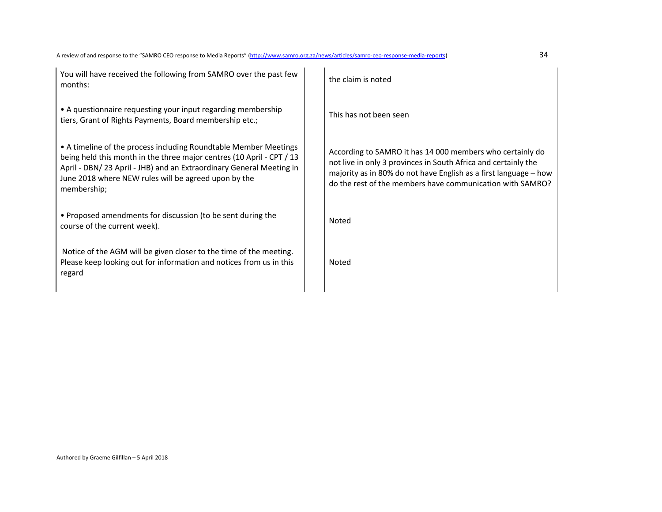You will have received the following from SAMRO over the past few the claim is noted<br>months:

• A questionnaire requesting your input regarding membership tiers, Grant of Rights Payments, Board membership etc.;<br>tiers, Grant of Rights Payments, Board membership etc.;

• A timeline of the process including Roundtable Member Meetings being held this month in the three major centres (10 April - CPT / 13 April - DBN/ 23 April - JHB) and an Extraordinary General Meeting in June 2018 where NEW rules will be agreed upon by the membership;

• Proposed amendments for discussion (to be sent during the The course of the current week).

 Notice of the AGM will be given closer to the time of the meeting. Please keep looking out for information and notices from us in this regard

According to SAMRO it has 14 000 members who certainly do not live in only 3 provinces in South Africa and certainly the majority as in 80% do not have English as a first language – how do the rest of the members have communication with SAMRO?

Noted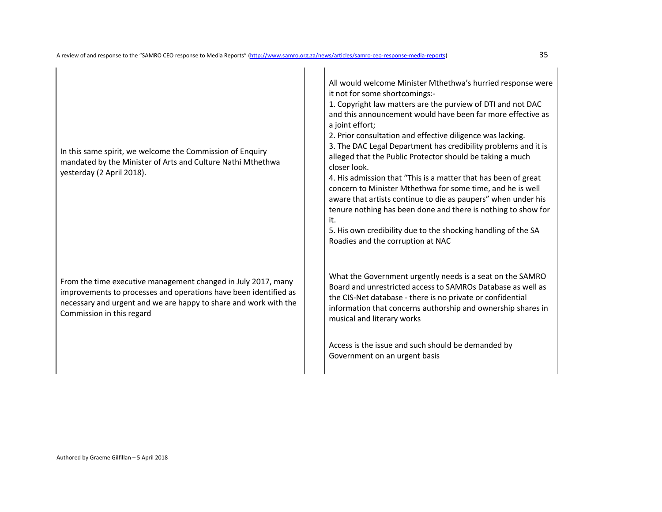In this same spirit, we welcome the Commission of Enquiry mandated by the Minister of Arts and Culture Nathi Mthethwa yesterday (2 April 2018).

From the time executive management changed in July 2017, many improvements to processes and operations have been identified as necessary and urgent and we are happy to share and work with the Commission in this regard

All would welcome Minister Mthethwa's hurried response were it not for some shortcomings:-

1. Copyright law matters are the purview of DTI and not DAC and this announcement would have been far more effective as a joint effort;

2. Prior consultation and effective diligence was lacking.

 3. The DAC Legal Department has credibility problems and it is alleged that the Public Protector should be taking a much closer look.

4. His admission that "This is a matter that has been of great concern to Minister Mthethwa for some time, and he is well aware that artists continue to die as paupers" when under his tenure nothing has been done and there is nothing to show for it.

5. His own credibility due to the shocking handling of the SA Roadies and the corruption at NAC

What the Government urgently needs is a seat on the SAMRO Board and unrestricted access to SAMROs Database as well as the CIS-Net database - there is no private or confidential information that concerns authorship and ownership shares in musical and literary works

Access is the issue and such should be demanded by Government on an urgent basis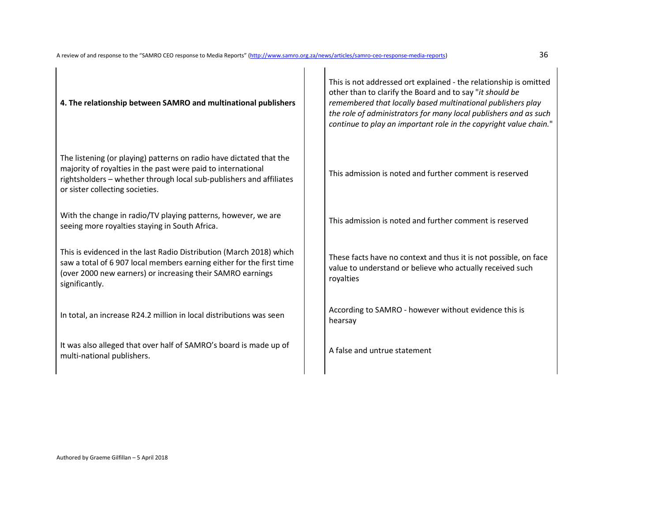| 4. The relationship between SAMRO and multinational publishers                                                                                                                                                                                | This is not addressed ort explained - the relationship is omitted<br>other than to clarify the Board and to say "it should be<br>remembered that locally based multinational publishers play<br>the role of administrators for many local publishers and as such<br>continue to play an important role in the copyright value chain." |
|-----------------------------------------------------------------------------------------------------------------------------------------------------------------------------------------------------------------------------------------------|---------------------------------------------------------------------------------------------------------------------------------------------------------------------------------------------------------------------------------------------------------------------------------------------------------------------------------------|
| The listening (or playing) patterns on radio have dictated that the<br>majority of royalties in the past were paid to international<br>rightsholders - whether through local sub-publishers and affiliates<br>or sister collecting societies. | This admission is noted and further comment is reserved                                                                                                                                                                                                                                                                               |
| With the change in radio/TV playing patterns, however, we are<br>seeing more royalties staying in South Africa.                                                                                                                               | This admission is noted and further comment is reserved                                                                                                                                                                                                                                                                               |
| This is evidenced in the last Radio Distribution (March 2018) which<br>saw a total of 6 907 local members earning either for the first time<br>(over 2000 new earners) or increasing their SAMRO earnings<br>significantly.                   | These facts have no context and thus it is not possible, on face<br>value to understand or believe who actually received such<br>royalties                                                                                                                                                                                            |
| In total, an increase R24.2 million in local distributions was seen                                                                                                                                                                           | According to SAMRO - however without evidence this is<br>hearsay                                                                                                                                                                                                                                                                      |
| It was also alleged that over half of SAMRO's board is made up of<br>multi-national publishers.                                                                                                                                               | A false and untrue statement                                                                                                                                                                                                                                                                                                          |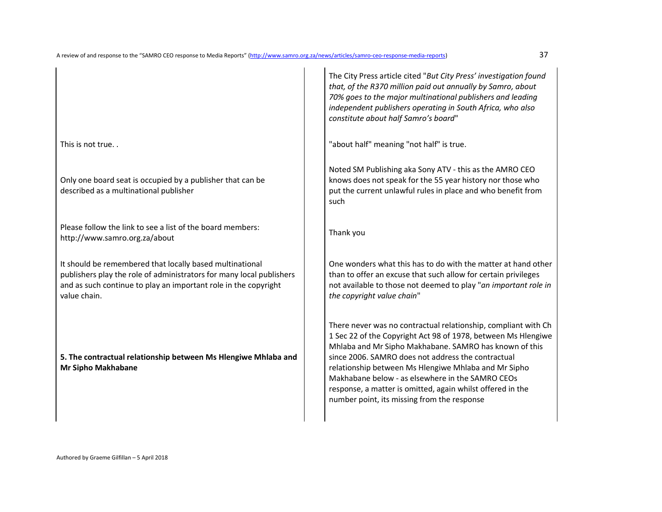Only one board seat is occupied by a publisher that can be described as a multinational publisher

Please follow the link to see a list of the board members: http://www.samro.org.za/about Thank you

It should be remembered that locally based multinational publishers play the role of administrators for many local publishers and as such continue to play an important role in the copyright value chain.

**5. The contractual relationship between Ms Hlengiwe Mhlaba and Mr Sipho Makhabane** 

The City Press article cited "*But City Press' investigation found that, of the R370 million paid out annually by Samro, about 70% goes to the major multinational publishers and leading independent publishers operating in South Africa, who also constitute about half Samro's board*"

This is not true. . This is not true. . This is not true. .  $\begin{bmatrix} 1 & 1 \\ 1 & 1 \end{bmatrix}$  "about half" meaning "not half" is true.

Noted SM Publishing aka Sony ATV - this as the AMRO CEO knows does not speak for the 55 year history nor those who put the current unlawful rules in place and who benefit from such

One wonders what this has to do with the matter at hand other than to offer an excuse that such allow for certain privileges not available to those not deemed to play "*an important role in the copyright value chain*"

There never was no contractual relationship, compliant with Ch 1 Sec 22 of the Copyright Act 98 of 1978, between Ms Hlengiwe Mhlaba and Mr Sipho Makhabane. SAMRO has known of this since 2006. SAMRO does not address the contractual relationship between Ms Hlengiwe Mhlaba and Mr Sipho Makhabane below - as elsewhere in the SAMRO CEOs response, a matter is omitted, again whilst offered in the number point, its missing from the response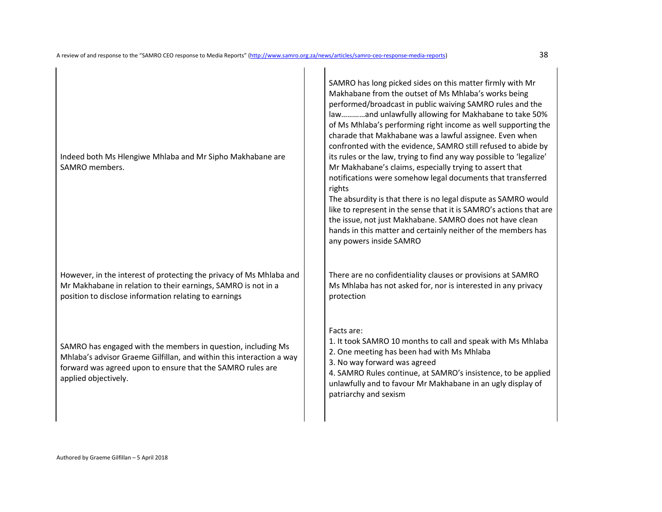Indeed both Ms Hlengiwe Mhlaba and Mr Sipho Makhabane are SAMRO members.

However, in the interest of protecting the privacy of Ms Mhlaba and Mr Makhabane in relation to their earnings, SAMRO is not in a position to disclose information relating to earnings

SAMRO has engaged with the members in question, including Ms Mhlaba's advisor Graeme Gilfillan, and within this interaction a way forward was agreed upon to ensure that the SAMRO rules are applied objectively.

SAMRO has long picked sides on this matter firmly with Mr Makhabane from the outset of Ms Mhlaba's works being performed/broadcast in public waiving SAMRO rules and the law…………and unlawfully allowing for Makhabane to take 50% of Ms Mhlaba's performing right income as well supporting the charade that Makhabane was a lawful assignee. Even when confronted with the evidence, SAMRO still refused to abide by its rules or the law, trying to find any way possible to 'legalize' Mr Makhabane's claims, especially trying to assert that notifications were somehow legal documents that transferred rights

The absurdity is that there is no legal dispute as SAMRO would like to represent in the sense that it is SAMRO's actions that are the issue, not just Makhabane. SAMRO does not have clean hands in this matter and certainly neither of the members has any powers inside SAMRO

There are no confidentiality clauses or provisions at SAMRO Ms Mhlaba has not asked for, nor is interested in any privacy protection

## Facts are:

1. It took SAMRO 10 months to call and speak with Ms Mhlaba 2. One meeting has been had with Ms Mhlaba

3. No way forward was agreed

4. SAMRO Rules continue, at SAMRO's insistence, to be applied unlawfully and to favour Mr Makhabane in an ugly display of patriarchy and sexism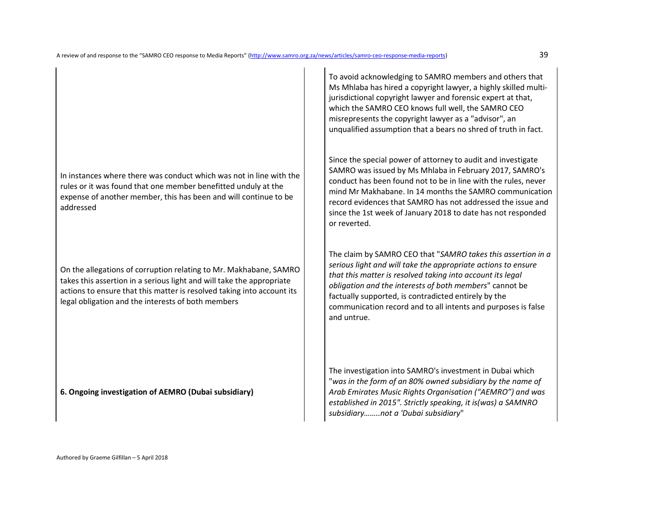In instances where there was conduct which was not in line with the rules or it was found that one member benefitted unduly at the expense of another member, this has been and will continue to be addressed

On the allegations of corruption relating to Mr. Makhabane, SAMRO takes this assertion in a serious light and will take the appropriate actions to ensure that this matter is resolved taking into account its legal obligation and the interests of both members

**6. Ongoing investigation of AEMRO (Dubai subsidiary)** 

To avoid acknowledging to SAMRO members and others that Ms Mhlaba has hired a copyright lawyer, a highly skilled multijurisdictional copyright lawyer and forensic expert at that, which the SAMRO CEO knows full well, the SAMRO CEO misrepresents the copyright lawyer as a "advisor", an unqualified assumption that a bears no shred of truth in fact.

Since the special power of attorney to audit and investigate SAMRO was issued by Ms Mhlaba in February 2017, SAMRO's conduct has been found not to be in line with the rules, never mind Mr Makhabane. In 14 months the SAMRO communication record evidences that SAMRO has not addressed the issue and since the 1st week of January 2018 to date has not responded or reverted.

The claim by SAMRO CEO that "*SAMRO takes this assertion in a serious light and will take the appropriate actions to ensure that this matter is resolved taking into account its legal obligation and the interests of both members*" cannot be factually supported, is contradicted entirely by the communication record and to all intents and purposes is false and untrue.

The investigation into SAMRO's investment in Dubai which "*was in the form of an 80% owned subsidiary by the name of Arab Emirates Music Rights Organisation ("AEMRO") and was established in 2015". Strictly speaking, it is(was) a SAMNRO subsidiary……..not a 'Dubai subsidiary*"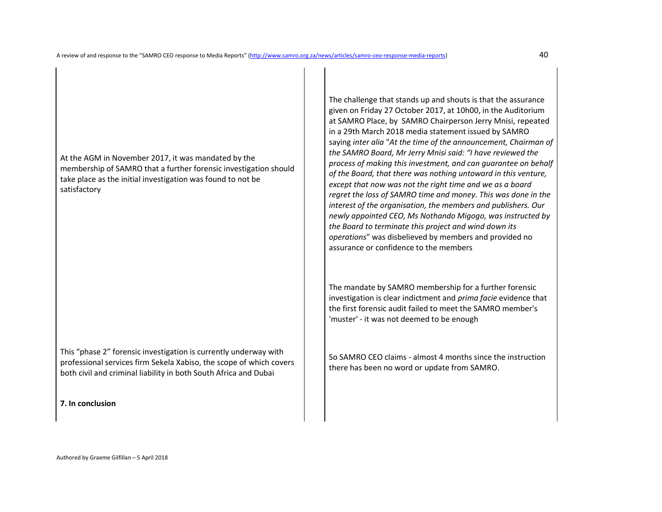At the AGM in November 2017, it was mandated by the membership of SAMRO that a further forensic investigation should take place as the initial investigation was found to not be satisfactory

This "phase 2" forensic investigation is currently underway with professional services firm Sekela Xabiso, the scope of which covers both civil and criminal liability in both South Africa and Dubai

**7. In conclusion** 

The challenge that stands up and shouts is that the assurance given on Friday 27 October 2017, at 10h00, in the Auditorium at SAMRO Place, by SAMRO Chairperson Jerry Mnisi, repeated in a 29th March 2018 media statement issued by SAMRO saying *inter alia* "*At the time of the announcement, Chairman of the SAMRO Board, Mr Jerry Mnisi said: "I have reviewed the process of making this investment, and can guarantee on behalf of the Board, that there was nothing untoward in this venture, except that now was not the right time and we as a board regret the loss of SAMRO time and money. This was done in the interest of the organisation, the members and publishers. Our newly appointed CEO, Ms Nothando Migogo, was instructed by the Board to terminate this project and wind down its operations*" was disbelieved by members and provided no assurance or confidence to the members

The mandate by SAMRO membership for a further forensic investigation is clear indictment and *prima facie* evidence that the first forensic audit failed to meet the SAMRO member's 'muster' - it was not deemed to be enough

So SAMRO CEO claims - almost 4 months since the instruction there has been no word or update from SAMRO.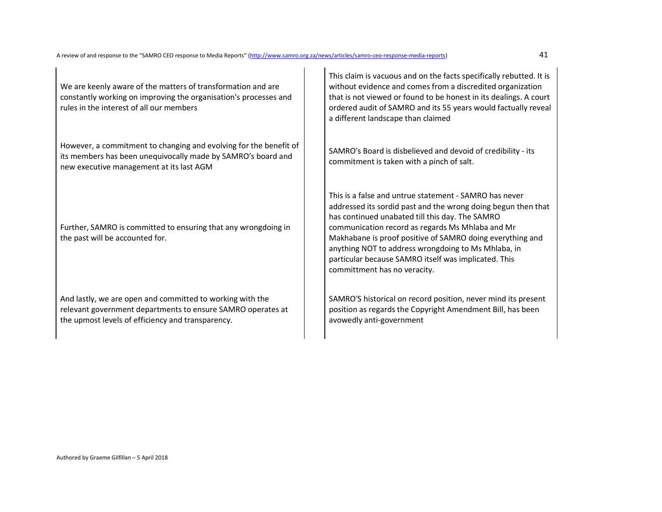We are keenly aware of the matters of transformation and are constantly working on improving the organisation's processes and rules in the interest of all our members

However, a commitment to changing and evolving for the benefit of its members has been unequivocally made by SAMRO's board and new executive management at its last AGM

Further, SAMRO is committed to ensuring that any wrongdoing in the past will be accounted for.

And lastly, we are open and committed to working with the relevant government departments to ensure SAMRO operates at the upmost levels of efficiency and transparency.

This claim is vacuous and on the facts specifically rebutted. It is without evidence and comes from a discredited organization that is not viewed or found to be honest in its dealings. A court ordered audit of SAMRO and its 55 years would factually reveal a different landscape than claimed

SAMRO's Board is disbelieved and devoid of credibility - its commitment is taken with a pinch of salt.

This is a false and untrue statement - SAMRO has never addressed its sordid past and the wrong doing begun then that has continued unabated till this day. The SAMRO communication record as regards Ms Mhlaba and Mr Makhabane is proof positive of SAMRO doing everything and anything NOT to address wrongdoing to Ms Mhlaba, inparticular because SAMRO itself was implicated. This committment has no veracity.

SAMRO'S historical on record position, never mind its present position as regards the Copyright Amendment Bill, has been avowedly anti-government

Authored by Graeme Gilfillan – 5 April 2018